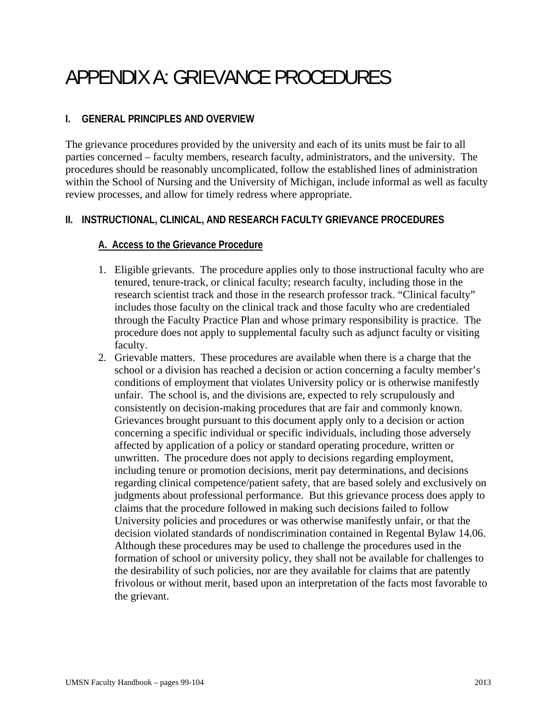# APPENDIX A: GRIEVANCE PROCEDURES

# **I. GENERAL PRINCIPLES AND OVERVIEW**

The grievance procedures provided by the university and each of its units must be fair to all parties concerned – faculty members, research faculty, administrators, and the university. The procedures should be reasonably uncomplicated, follow the established lines of administration within the School of Nursing and the University of Michigan, include informal as well as faculty review processes, and allow for timely redress where appropriate.

## **II. INSTRUCTIONAL, CLINICAL, AND RESEARCH FACULTY GRIEVANCE PROCEDURES**

## **A. Access to the Grievance Procedure**

- 1. Eligible grievants. The procedure applies only to those instructional faculty who are tenured, tenure-track, or clinical faculty; research faculty, including those in the research scientist track and those in the research professor track. "Clinical faculty" includes those faculty on the clinical track and those faculty who are credentialed through the Faculty Practice Plan and whose primary responsibility is practice. The procedure does not apply to supplemental faculty such as adjunct faculty or visiting faculty.
- 2. Grievable matters. These procedures are available when there is a charge that the school or a division has reached a decision or action concerning a faculty member's conditions of employment that violates University policy or is otherwise manifestly unfair. The school is, and the divisions are, expected to rely scrupulously and consistently on decision-making procedures that are fair and commonly known. Grievances brought pursuant to this document apply only to a decision or action concerning a specific individual or specific individuals, including those adversely affected by application of a policy or standard operating procedure, written or unwritten. The procedure does not apply to decisions regarding employment, including tenure or promotion decisions, merit pay determinations, and decisions regarding clinical competence/patient safety, that are based solely and exclusively on judgments about professional performance. But this grievance process does apply to claims that the procedure followed in making such decisions failed to follow University policies and procedures or was otherwise manifestly unfair, or that the decision violated standards of nondiscrimination contained in Regental Bylaw 14.06. Although these procedures may be used to challenge the procedures used in the formation of school or university policy, they shall not be available for challenges to the desirability of such policies, nor are they available for claims that are patently frivolous or without merit, based upon an interpretation of the facts most favorable to the grievant.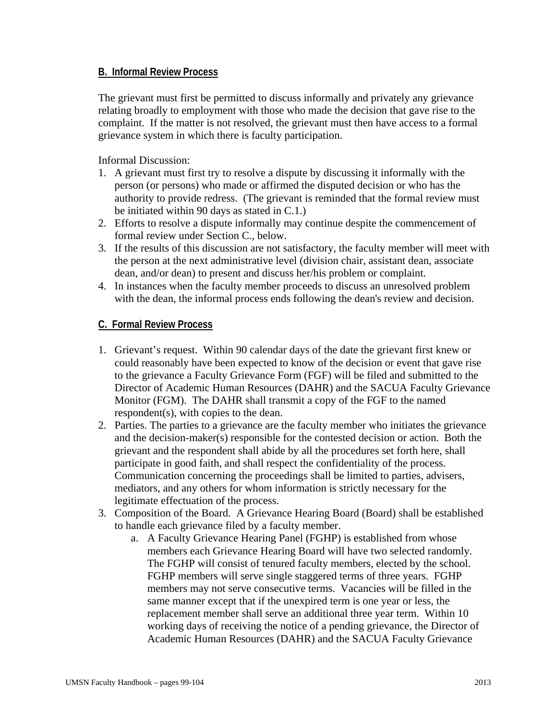#### **B. Informal Review Process**

The grievant must first be permitted to discuss informally and privately any grievance relating broadly to employment with those who made the decision that gave rise to the complaint. If the matter is not resolved, the grievant must then have access to a formal grievance system in which there is faculty participation.

Informal Discussion:

- 1. A grievant must first try to resolve a dispute by discussing it informally with the person (or persons) who made or affirmed the disputed decision or who has the authority to provide redress. (The grievant is reminded that the formal review must be initiated within 90 days as stated in C.1.)
- 2. Efforts to resolve a dispute informally may continue despite the commencement of formal review under Section C., below.
- 3. If the results of this discussion are not satisfactory, the faculty member will meet with the person at the next administrative level (division chair, assistant dean, associate dean, and/or dean) to present and discuss her/his problem or complaint.
- 4. In instances when the faculty member proceeds to discuss an unresolved problem with the dean, the informal process ends following the dean's review and decision.

#### **C. Formal Review Process**

- 1. Grievant's request. Within 90 calendar days of the date the grievant first knew or could reasonably have been expected to know of the decision or event that gave rise to the grievance a Faculty Grievance Form (FGF) will be filed and submitted to the Director of Academic Human Resources (DAHR) and the SACUA Faculty Grievance Monitor (FGM). The DAHR shall transmit a copy of the FGF to the named respondent(s), with copies to the dean.
- 2. Parties. The parties to a grievance are the faculty member who initiates the grievance and the decision-maker(s) responsible for the contested decision or action. Both the grievant and the respondent shall abide by all the procedures set forth here, shall participate in good faith, and shall respect the confidentiality of the process. Communication concerning the proceedings shall be limited to parties, advisers, mediators, and any others for whom information is strictly necessary for the legitimate effectuation of the process.
- 3. Composition of the Board. A Grievance Hearing Board (Board) shall be established to handle each grievance filed by a faculty member.
	- a. A Faculty Grievance Hearing Panel (FGHP) is established from whose members each Grievance Hearing Board will have two selected randomly. The FGHP will consist of tenured faculty members, elected by the school. FGHP members will serve single staggered terms of three years. FGHP members may not serve consecutive terms. Vacancies will be filled in the same manner except that if the unexpired term is one year or less, the replacement member shall serve an additional three year term. Within 10 working days of receiving the notice of a pending grievance, the Director of Academic Human Resources (DAHR) and the SACUA Faculty Grievance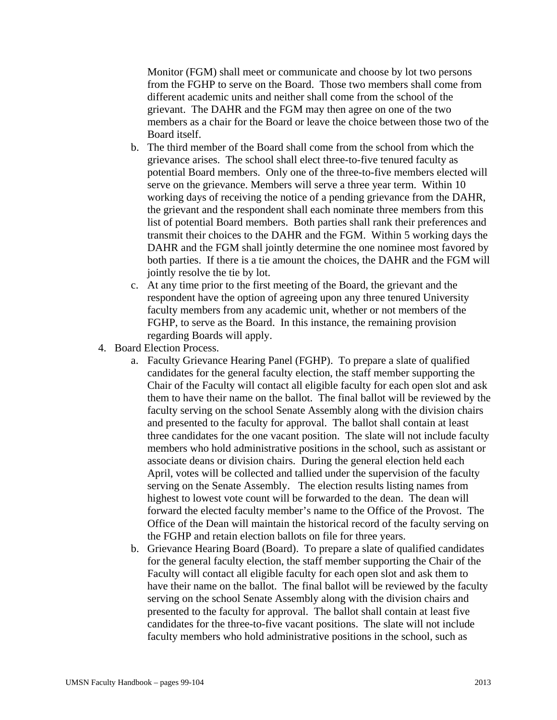Monitor (FGM) shall meet or communicate and choose by lot two persons from the FGHP to serve on the Board. Those two members shall come from different academic units and neither shall come from the school of the grievant. The DAHR and the FGM may then agree on one of the two members as a chair for the Board or leave the choice between those two of the Board itself.

- b. The third member of the Board shall come from the school from which the grievance arises. The school shall elect three-to-five tenured faculty as potential Board members. Only one of the three-to-five members elected will serve on the grievance. Members will serve a three year term. Within 10 working days of receiving the notice of a pending grievance from the DAHR, the grievant and the respondent shall each nominate three members from this list of potential Board members. Both parties shall rank their preferences and transmit their choices to the DAHR and the FGM. Within 5 working days the DAHR and the FGM shall jointly determine the one nominee most favored by both parties. If there is a tie amount the choices, the DAHR and the FGM will jointly resolve the tie by lot.
- c. At any time prior to the first meeting of the Board, the grievant and the respondent have the option of agreeing upon any three tenured University faculty members from any academic unit, whether or not members of the FGHP, to serve as the Board. In this instance, the remaining provision regarding Boards will apply.
- 4. Board Election Process.
	- a. Faculty Grievance Hearing Panel (FGHP). To prepare a slate of qualified candidates for the general faculty election, the staff member supporting the Chair of the Faculty will contact all eligible faculty for each open slot and ask them to have their name on the ballot. The final ballot will be reviewed by the faculty serving on the school Senate Assembly along with the division chairs and presented to the faculty for approval. The ballot shall contain at least three candidates for the one vacant position. The slate will not include faculty members who hold administrative positions in the school, such as assistant or associate deans or division chairs. During the general election held each April, votes will be collected and tallied under the supervision of the faculty serving on the Senate Assembly. The election results listing names from highest to lowest vote count will be forwarded to the dean. The dean will forward the elected faculty member's name to the Office of the Provost. The Office of the Dean will maintain the historical record of the faculty serving on the FGHP and retain election ballots on file for three years.
	- b. Grievance Hearing Board (Board). To prepare a slate of qualified candidates for the general faculty election, the staff member supporting the Chair of the Faculty will contact all eligible faculty for each open slot and ask them to have their name on the ballot. The final ballot will be reviewed by the faculty serving on the school Senate Assembly along with the division chairs and presented to the faculty for approval. The ballot shall contain at least five candidates for the three-to-five vacant positions. The slate will not include faculty members who hold administrative positions in the school, such as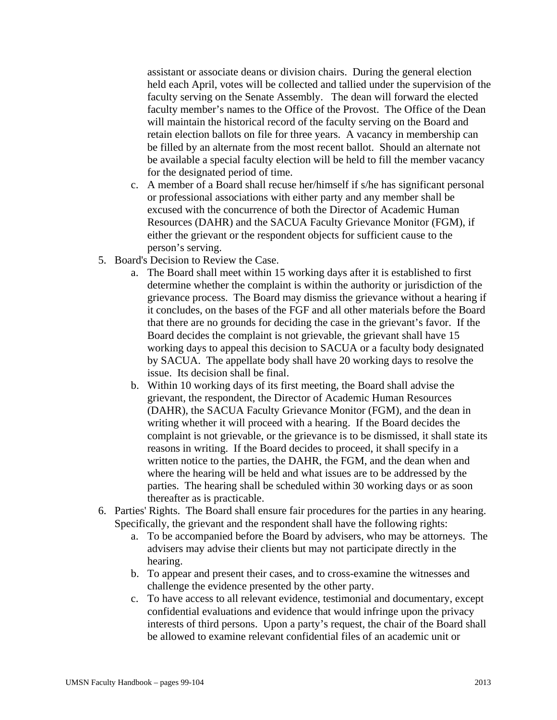assistant or associate deans or division chairs. During the general election held each April, votes will be collected and tallied under the supervision of the faculty serving on the Senate Assembly. The dean will forward the elected faculty member's names to the Office of the Provost. The Office of the Dean will maintain the historical record of the faculty serving on the Board and retain election ballots on file for three years. A vacancy in membership can be filled by an alternate from the most recent ballot. Should an alternate not be available a special faculty election will be held to fill the member vacancy for the designated period of time.

- c. A member of a Board shall recuse her/himself if s/he has significant personal or professional associations with either party and any member shall be excused with the concurrence of both the Director of Academic Human Resources (DAHR) and the SACUA Faculty Grievance Monitor (FGM), if either the grievant or the respondent objects for sufficient cause to the person's serving.
- 5. Board's Decision to Review the Case.
	- a. The Board shall meet within 15 working days after it is established to first determine whether the complaint is within the authority or jurisdiction of the grievance process. The Board may dismiss the grievance without a hearing if it concludes, on the bases of the FGF and all other materials before the Board that there are no grounds for deciding the case in the grievant's favor. If the Board decides the complaint is not grievable, the grievant shall have 15 working days to appeal this decision to SACUA or a faculty body designated by SACUA. The appellate body shall have 20 working days to resolve the issue. Its decision shall be final.
	- b. Within 10 working days of its first meeting, the Board shall advise the grievant, the respondent, the Director of Academic Human Resources (DAHR), the SACUA Faculty Grievance Monitor (FGM), and the dean in writing whether it will proceed with a hearing. If the Board decides the complaint is not grievable, or the grievance is to be dismissed, it shall state its reasons in writing. If the Board decides to proceed, it shall specify in a written notice to the parties, the DAHR, the FGM, and the dean when and where the hearing will be held and what issues are to be addressed by the parties. The hearing shall be scheduled within 30 working days or as soon thereafter as is practicable.
- 6. Parties' Rights. The Board shall ensure fair procedures for the parties in any hearing. Specifically, the grievant and the respondent shall have the following rights:
	- a. To be accompanied before the Board by advisers, who may be attorneys. The advisers may advise their clients but may not participate directly in the hearing.
	- b. To appear and present their cases, and to cross-examine the witnesses and challenge the evidence presented by the other party.
	- c. To have access to all relevant evidence, testimonial and documentary, except confidential evaluations and evidence that would infringe upon the privacy interests of third persons. Upon a party's request, the chair of the Board shall be allowed to examine relevant confidential files of an academic unit or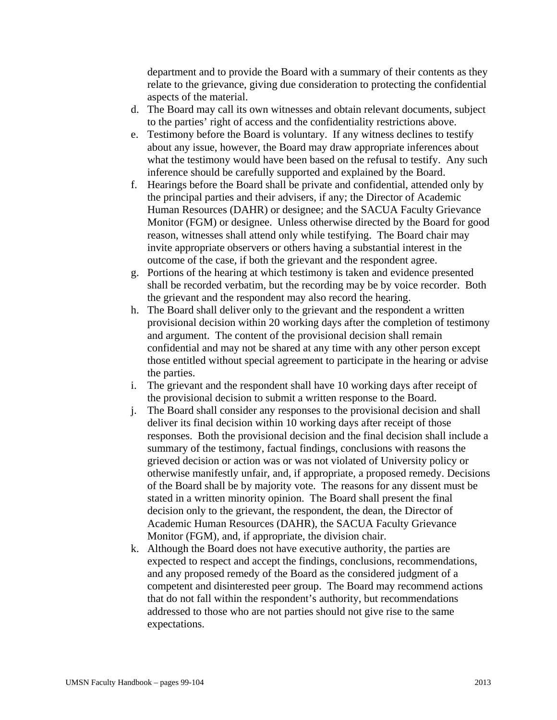department and to provide the Board with a summary of their contents as they relate to the grievance, giving due consideration to protecting the confidential aspects of the material.

- d. The Board may call its own witnesses and obtain relevant documents, subject to the parties' right of access and the confidentiality restrictions above.
- e. Testimony before the Board is voluntary. If any witness declines to testify about any issue, however, the Board may draw appropriate inferences about what the testimony would have been based on the refusal to testify. Any such inference should be carefully supported and explained by the Board.
- f. Hearings before the Board shall be private and confidential, attended only by the principal parties and their advisers, if any; the Director of Academic Human Resources (DAHR) or designee; and the SACUA Faculty Grievance Monitor (FGM) or designee. Unless otherwise directed by the Board for good reason, witnesses shall attend only while testifying. The Board chair may invite appropriate observers or others having a substantial interest in the outcome of the case, if both the grievant and the respondent agree.
- g. Portions of the hearing at which testimony is taken and evidence presented shall be recorded verbatim, but the recording may be by voice recorder. Both the grievant and the respondent may also record the hearing.
- h. The Board shall deliver only to the grievant and the respondent a written provisional decision within 20 working days after the completion of testimony and argument. The content of the provisional decision shall remain confidential and may not be shared at any time with any other person except those entitled without special agreement to participate in the hearing or advise the parties.
- i. The grievant and the respondent shall have 10 working days after receipt of the provisional decision to submit a written response to the Board.
- j. The Board shall consider any responses to the provisional decision and shall deliver its final decision within 10 working days after receipt of those responses. Both the provisional decision and the final decision shall include a summary of the testimony, factual findings, conclusions with reasons the grieved decision or action was or was not violated of University policy or otherwise manifestly unfair, and, if appropriate, a proposed remedy. Decisions of the Board shall be by majority vote. The reasons for any dissent must be stated in a written minority opinion. The Board shall present the final decision only to the grievant, the respondent, the dean, the Director of Academic Human Resources (DAHR), the SACUA Faculty Grievance Monitor (FGM), and, if appropriate, the division chair.
- k. Although the Board does not have executive authority, the parties are expected to respect and accept the findings, conclusions, recommendations, and any proposed remedy of the Board as the considered judgment of a competent and disinterested peer group. The Board may recommend actions that do not fall within the respondent's authority, but recommendations addressed to those who are not parties should not give rise to the same expectations.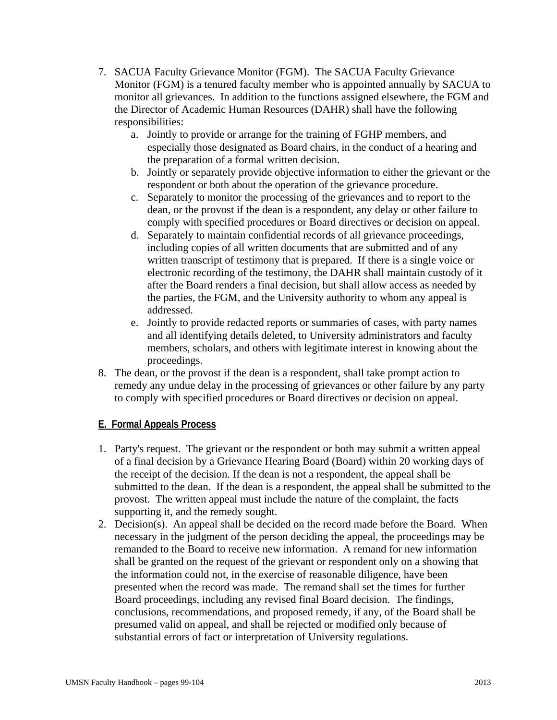- 7. SACUA Faculty Grievance Monitor (FGM). The SACUA Faculty Grievance Monitor (FGM) is a tenured faculty member who is appointed annually by SACUA to monitor all grievances. In addition to the functions assigned elsewhere, the FGM and the Director of Academic Human Resources (DAHR) shall have the following responsibilities:
	- a. Jointly to provide or arrange for the training of FGHP members, and especially those designated as Board chairs, in the conduct of a hearing and the preparation of a formal written decision.
	- b. Jointly or separately provide objective information to either the grievant or the respondent or both about the operation of the grievance procedure.
	- c. Separately to monitor the processing of the grievances and to report to the dean, or the provost if the dean is a respondent, any delay or other failure to comply with specified procedures or Board directives or decision on appeal.
	- d. Separately to maintain confidential records of all grievance proceedings, including copies of all written documents that are submitted and of any written transcript of testimony that is prepared. If there is a single voice or electronic recording of the testimony, the DAHR shall maintain custody of it after the Board renders a final decision, but shall allow access as needed by the parties, the FGM, and the University authority to whom any appeal is addressed.
	- e. Jointly to provide redacted reports or summaries of cases, with party names and all identifying details deleted, to University administrators and faculty members, scholars, and others with legitimate interest in knowing about the proceedings.
- 8. The dean, or the provost if the dean is a respondent, shall take prompt action to remedy any undue delay in the processing of grievances or other failure by any party to comply with specified procedures or Board directives or decision on appeal.

## **E. Formal Appeals Process**

- 1. Party's request. The grievant or the respondent or both may submit a written appeal of a final decision by a Grievance Hearing Board (Board) within 20 working days of the receipt of the decision. If the dean is not a respondent, the appeal shall be submitted to the dean. If the dean is a respondent, the appeal shall be submitted to the provost. The written appeal must include the nature of the complaint, the facts supporting it, and the remedy sought.
- 2. Decision(s). An appeal shall be decided on the record made before the Board. When necessary in the judgment of the person deciding the appeal, the proceedings may be remanded to the Board to receive new information. A remand for new information shall be granted on the request of the grievant or respondent only on a showing that the information could not, in the exercise of reasonable diligence, have been presented when the record was made. The remand shall set the times for further Board proceedings, including any revised final Board decision. The findings, conclusions, recommendations, and proposed remedy, if any, of the Board shall be presumed valid on appeal, and shall be rejected or modified only because of substantial errors of fact or interpretation of University regulations.